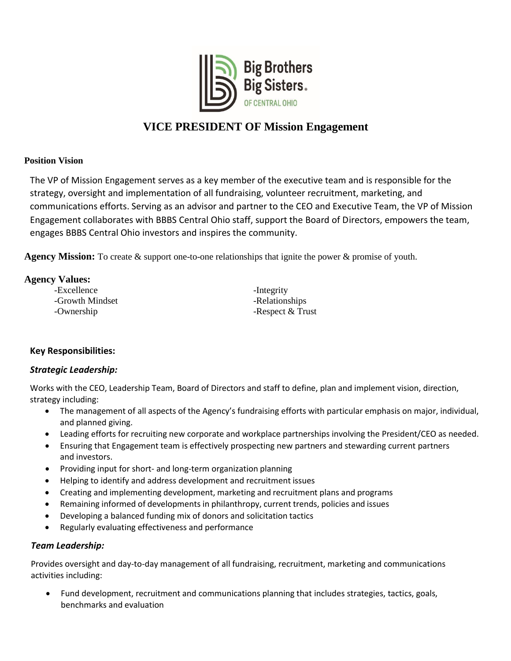

# **VICE PRESIDENT OF Mission Engagement**

#### **Position Vision**

The VP of Mission Engagement serves as a key member of the executive team and is responsible for the strategy, oversight and implementation of all fundraising, volunteer recruitment, marketing, and communications efforts. Serving as an advisor and partner to the CEO and Executive Team, the VP of Mission Engagement collaborates with BBBS Central Ohio staff, support the Board of Directors, empowers the team, engages BBBS Central Ohio investors and inspires the community.

**Agency Mission:** To create & support one-to-one relationships that ignite the power & promise of youth.

## **Agency Values:**

| -Excellence     | -Integrity       |
|-----------------|------------------|
| -Growth Mindset | -Relationships   |
| -Ownership      | -Respect & Trust |

## **Key Responsibilities:**

## *Strategic Leadership:*

Works with the CEO, Leadership Team, Board of Directors and staff to define, plan and implement vision, direction, strategy including:

- The management of all aspects of the Agency's fundraising efforts with particular emphasis on major, individual, and planned giving.
- Leading efforts for recruiting new corporate and workplace partnerships involving the President/CEO as needed.
- Ensuring that Engagement team is effectively prospecting new partners and stewarding current partners and investors.
- Providing input for short- and long-term organization planning
- Helping to identify and address development and recruitment issues
- Creating and implementing development, marketing and recruitment plans and programs
- Remaining informed of developments in philanthropy, current trends, policies and issues
- Developing a balanced funding mix of donors and solicitation tactics
- Regularly evaluating effectiveness and performance

## *Team Leadership:*

Provides oversight and day-to-day management of all fundraising, recruitment, marketing and communications activities including:

 Fund development, recruitment and communications planning that includes strategies, tactics, goals, benchmarks and evaluation